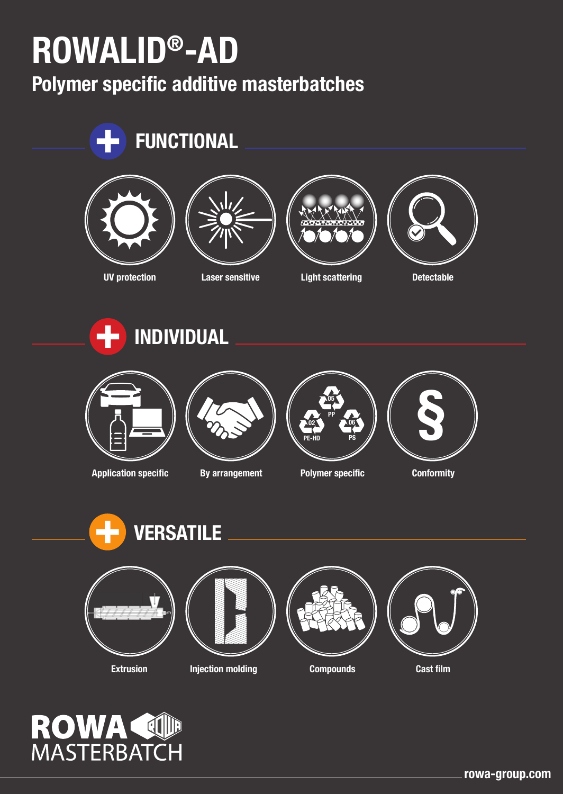# **ROWALID®-AD**

**Polymer specific additive masterbatches**